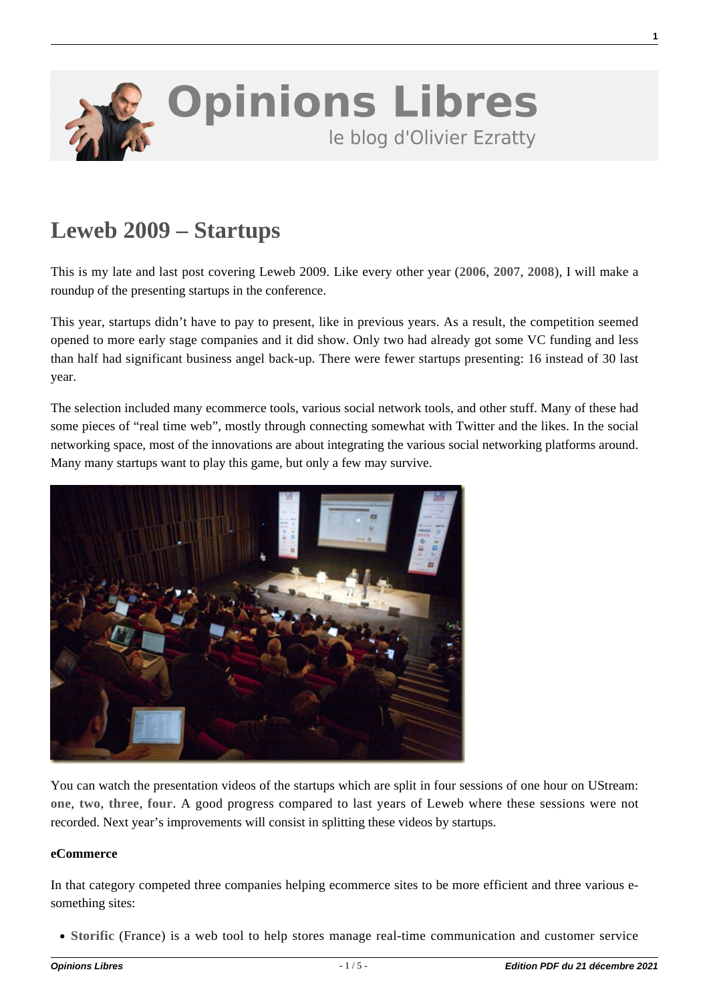

# **[Leweb 2009 – Startups](https://www.oezratty.net/wordpress/2009/leweb-2009-startups/)**

This is my late and last post covering Leweb 2009. Like every other year (**[2006](https://www.oezratty.net/wordpress/2006/confrence-web-30-les-startups/)**, **[2007](https://www.oezratty.net/wordpress/2007/back-from-leweb3-les-startups/)**, **[2008](https://www.oezratty.net/wordpress/2008/leweb-2008-et-les-startups/)**), I will make a roundup of the presenting startups in the conference.

This year, startups didn't have to pay to present, like in previous years. As a result, the competition seemed opened to more early stage companies and it did show. Only two had already got some VC funding and less than half had significant business angel back-up. There were fewer startups presenting: 16 instead of 30 last year.

The selection included many ecommerce tools, various social network tools, and other stuff. Many of these had some pieces of "real time web", mostly through connecting somewhat with Twitter and the likes. In the social networking space, most of the innovations are about integrating the various social networking platforms around. Many many startups want to play this game, but only a few may survive.



You can watch the presentation videos of the startups which are split in four sessions of one hour on UStream: **[one](http://www.ustream.tv/recorded/2748131)**, **[two](http://www.ustream.tv/recorded/2748297)**, **[three](http://www.ustream.tv/recorded/2751432)**, **[four](http://www.ustream.tv/recorded/2756230)**. A good progress compared to last years of Leweb where these sessions were not recorded. Next year's improvements will consist in splitting these videos by startups.

#### **eCommerce**

In that category competed three companies helping ecommerce sites to be more efficient and three various esomething sites:

**[Storific](http://www.storific.com/)** (France) is a web tool to help stores manage real-time communication and customer service

**1**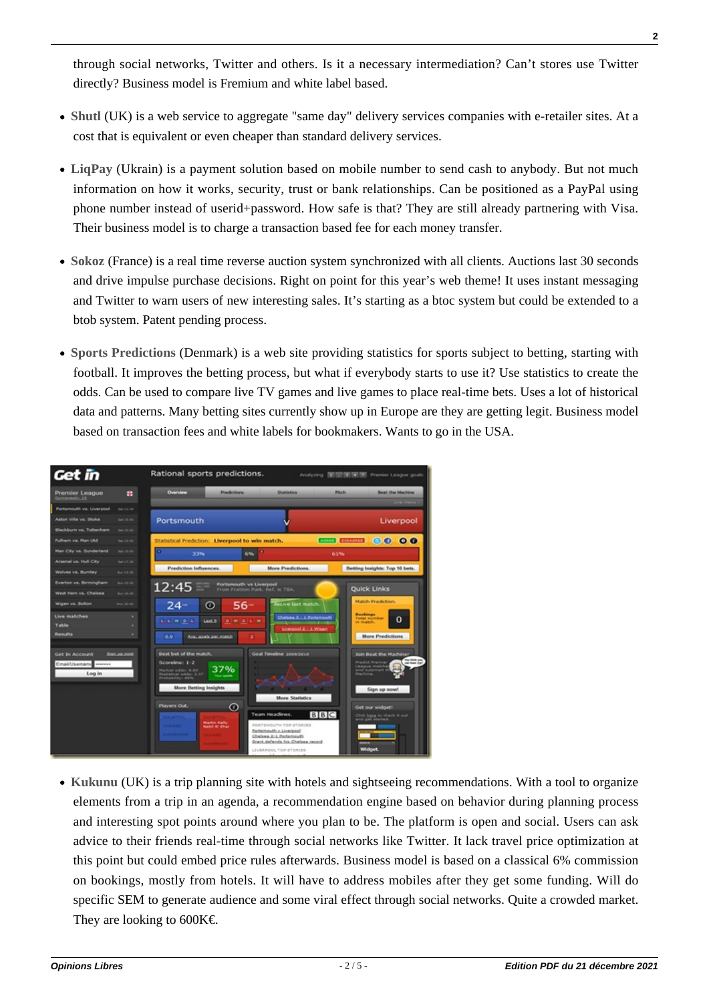through social networks, Twitter and others. Is it a necessary intermediation? Can't stores use Twitter directly? Business model is Fremium and white label based.

- **[Shutl](http://www.shutl.co.uk/)** (UK) is a web service to aggregate "same day" delivery services companies with e-retailer sites. At a cost that is equivalent or even cheaper than standard delivery services.
- **[LiqPay](http://www.liqpay.com/)** (Ukrain) is a payment solution based on mobile number to send cash to anybody. But not much information on how it works, security, trust or bank relationships. Can be positioned as a PayPal using phone number instead of userid+password. How safe is that? They are still already partnering with Visa. Their business model is to charge a transaction based fee for each money transfer.
- **[Sokoz](http://www.sokoz.fr/)** (France) is a real time reverse auction system synchronized with all clients. Auctions last 30 seconds and drive impulse purchase decisions. Right on point for this year's web theme! It uses instant messaging and Twitter to warn users of new interesting sales. It's starting as a btoc system but could be extended to a btob system. Patent pending process.
- **[Sports Predictions](http://www.getinlive.com/)** (Denmark) is a web site providing statistics for sports subject to betting, starting with football. It improves the betting process, but what if everybody starts to use it? Use statistics to create the odds. Can be used to compare live TV games and live games to place real-time bets. Uses a lot of historical data and patterns. Many betting sites currently show up in Europe are they are getting legit. Business model based on transaction fees and white labels for bookmakers. Wants to go in the USA.



**[Kukunu](http://www.kukunu.com/)** (UK) is a trip planning site with hotels and sightseeing recommendations. With a tool to organize elements from a trip in an agenda, a recommendation engine based on behavior during planning process and interesting spot points around where you plan to be. The platform is open and social. Users can ask advice to their friends real-time through social networks like Twitter. It lack travel price optimization at this point but could embed price rules afterwards. Business model is based on a classical 6% commission on bookings, mostly from hotels. It will have to address mobiles after they get some funding. Will do specific SEM to generate audience and some viral effect through social networks. Quite a crowded market. They are looking to  $600K\epsilon$ .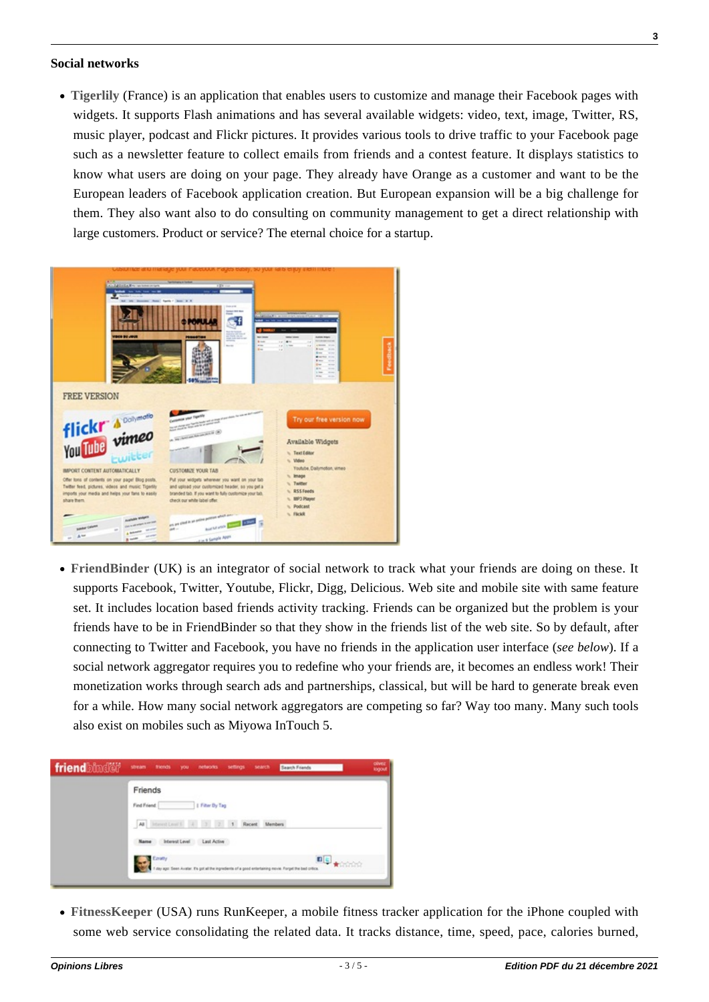#### **Social networks**

**[Tigerlily](http://tigerlilyapp.com/)** (France) is an application that enables users to customize and manage their Facebook pages with widgets. It supports Flash animations and has several available widgets: video, text, image, Twitter, RS, music player, podcast and Flickr pictures. It provides various tools to drive traffic to your Facebook page such as a newsletter feature to collect emails from friends and a contest feature. It displays statistics to know what users are doing on your page. They already have Orange as a customer and want to be the European leaders of Facebook application creation. But European expansion will be a big challenge for them. They also want also to do consulting on community management to get a direct relationship with large customers. Product or service? The eternal choice for a startup.



**[FriendBinder](http://friendbinder.com/)** (UK) is an integrator of social network to track what your friends are doing on these. It supports Facebook, Twitter, Youtube, Flickr, Digg, Delicious. Web site and mobile site with same feature set. It includes location based friends activity tracking. Friends can be organized but the problem is your friends have to be in FriendBinder so that they show in the friends list of the web site. So by default, after connecting to Twitter and Facebook, you have no friends in the application user interface (*see below*). If a social network aggregator requires you to redefine who your friends are, it becomes an endless work! Their monetization works through search ads and partnerships, classical, but will be hard to generate break even for a while. How many social network aggregators are competing so far? Way too many. Many such tools also exist on mobiles such as Miyowa InTouch 5.

|  | Friends                                      |
|--|----------------------------------------------|
|  | I Filter By Tag<br>Find Friend               |
|  | All interest Lewis 4 3 2 4<br>Recent Members |
|  | Interest Level<br>Last Active<br>Name        |
|  | <b>Courty</b><br><b>D</b> S <b>k</b> oone    |

**[FitnessKeeper](http://www.runkeeper.com/)** (USA) runs RunKeeper, a mobile fitness tracker application for the iPhone coupled with some web service consolidating the related data. It tracks distance, time, speed, pace, calories burned,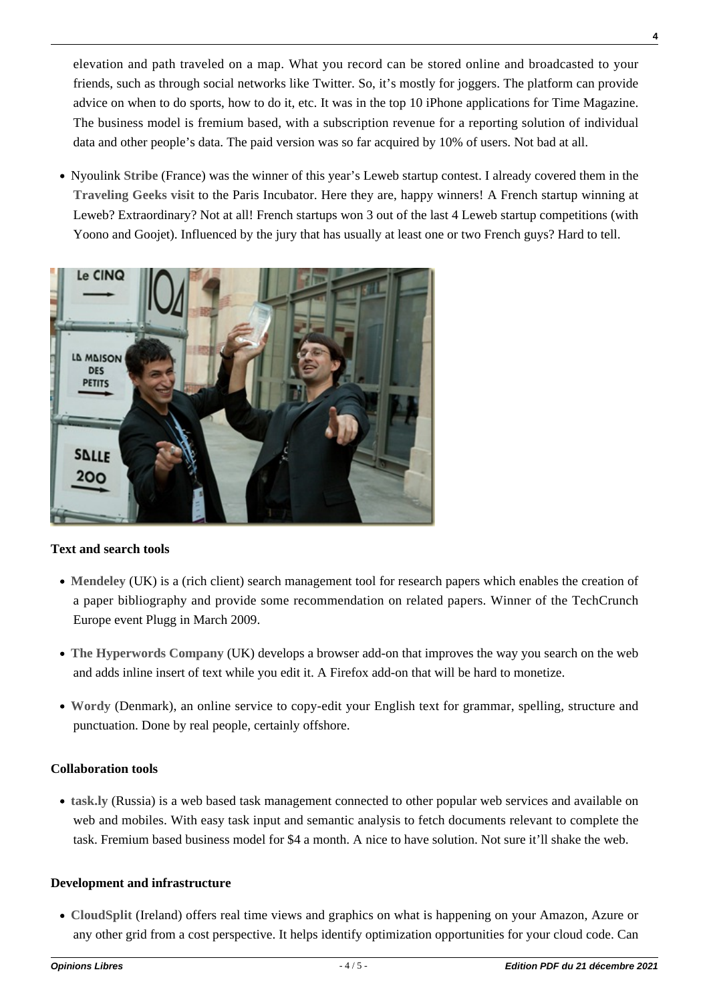elevation and path traveled on a map. What you record can be stored online and broadcasted to your friends, such as through social networks like Twitter. So, it's mostly for joggers. The platform can provide advice on when to do sports, how to do it, etc. It was in the top 10 iPhone applications for Time Magazine. The business model is fremium based, with a subscription revenue for a reporting solution of individual data and other people's data. The paid version was so far acquired by 10% of users. Not bad at all.

Nyoulink **[Stribe](http://www.stribe.com/)** (France) was the winner of this year's Leweb startup contest. I already covered them in the **[Traveling Geeks visit](https://www.oezratty.net/wordpress/2009/with-the-traveling-geeks-paris-incubator/)** to the Paris Incubator. Here they are, happy winners! A French startup winning at Leweb? Extraordinary? Not at all! French startups won 3 out of the last 4 Leweb startup competitions (with Yoono and Goojet). Influenced by the jury that has usually at least one or two French guys? Hard to tell.



## **Text and search tools**

- **[Mendeley](http://www.mendeley.com/)** (UK) is a (rich client) search management tool for research papers which enables the creation of a paper bibliography and provide some recommendation on related papers. Winner of the TechCrunch Europe event Plugg in March 2009.
- **[The Hyperwords Company](http://www.hyperwords.net/)** (UK) develops a browser add-on that improves the way you search on the web and adds inline insert of text while you edit it. A Firefox add-on that will be hard to monetize.
- **[Wordy](http://www.wordy.com/)** (Denmark), an online service to copy-edit your English text for grammar, spelling, structure and punctuation. Done by real people, certainly offshore.

## **Collaboration tools**

**[task.ly](http://task.ly/teaser)** (Russia) is a web based task management connected to other popular web services and available on web and mobiles. With easy task input and semantic analysis to fetch documents relevant to complete the task. Fremium based business model for \$4 a month. A nice to have solution. Not sure it'll shake the web.

## **Development and infrastructure**

**[CloudSplit](http://cloudsplit.com/)** (Ireland) offers real time views and graphics on what is happening on your Amazon, Azure or any other grid from a cost perspective. It helps identify optimization opportunities for your cloud code. Can